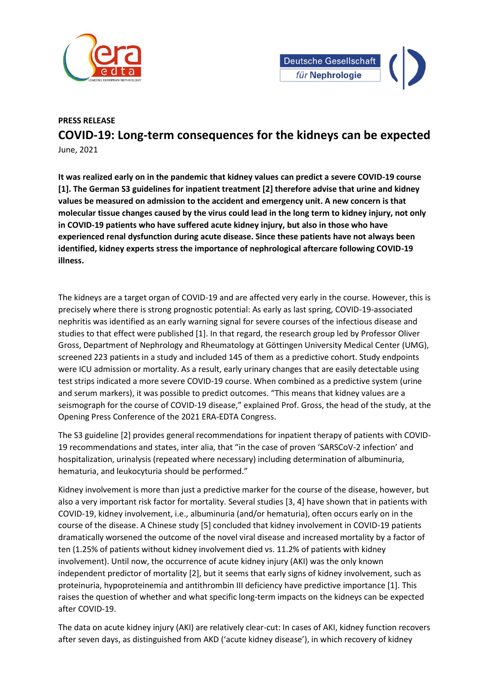



## **PRESS RELEASE COVID-19: Long-term consequences for the kidneys can be expected** June, 2021

**It was realized early on in the pandemic that kidney values can predict a severe COVID-19 course [1]. The German S3 guidelines for inpatient treatment [2] therefore advise that urine and kidney values be measured on admission to the accident and emergency unit. A new concern is that molecular tissue changes caused by the virus could lead in the long term to kidney injury, not only in COVID-19 patients who have suffered acute kidney injury, but also in those who have experienced renal dysfunction during acute disease. Since these patients have not always been identified, kidney experts stress the importance of nephrological aftercare following COVID-19 illness.**

The kidneys are a target organ of COVID-19 and are affected very early in the course. However, this is precisely where there is strong prognostic potential: As early as last spring, COVID-19-associated nephritis was identified as an early warning signal for severe courses of the infectious disease and studies to that effect were published [1]. In that regard, the research group led by Professor Oliver Gross, Department of Nephrology and Rheumatology at Göttingen University Medical Center (UMG), screened 223 patients in a study and included 145 of them as a predictive cohort. Study endpoints were ICU admission or mortality. As a result, early urinary changes that are easily detectable using test strips indicated a more severe COVID-19 course. When combined as a predictive system (urine and serum markers), it was possible to predict outcomes. "This means that kidney values are a seismograph for the course of COVID-19 disease," explained Prof. Gross, the head of the study, at the Opening Press Conference of the 2021 ERA-EDTA Congress.

The S3 guideline [2] provides general recommendations for inpatient therapy of patients with COVID-19 recommendations and states, inter alia, that "in the case of proven 'SARSCoV-2 infection' and hospitalization, urinalysis (repeated where necessary) including determination of albuminuria, hematuria, and leukocyturia should be performed."

Kidney involvement is more than just a predictive marker for the course of the disease, however, but also a very important risk factor for mortality. Several studies [3, 4] have shown that in patients with COVID-19, kidney involvement, i.e., albuminuria (and/or hematuria), often occurs early on in the course of the disease. A Chinese study [5] concluded that kidney involvement in COVID-19 patients dramatically worsened the outcome of the novel viral disease and increased mortality by a factor of ten (1.25% of patients without kidney involvement died vs. 11.2% of patients with kidney involvement). Until now, the occurrence of acute kidney injury (AKI) was the only known independent predictor of mortality [2], but it seems that early signs of kidney involvement, such as proteinuria, hypoproteinemia and antithrombin III deficiency have predictive importance [1]. This raises the question of whether and what specific long-term impacts on the kidneys can be expected after COVID-19.

The data on acute kidney injury (AKI) are relatively clear-cut: In cases of AKI, kidney function recovers after seven days, as distinguished from AKD ('acute kidney disease'), in which recovery of kidney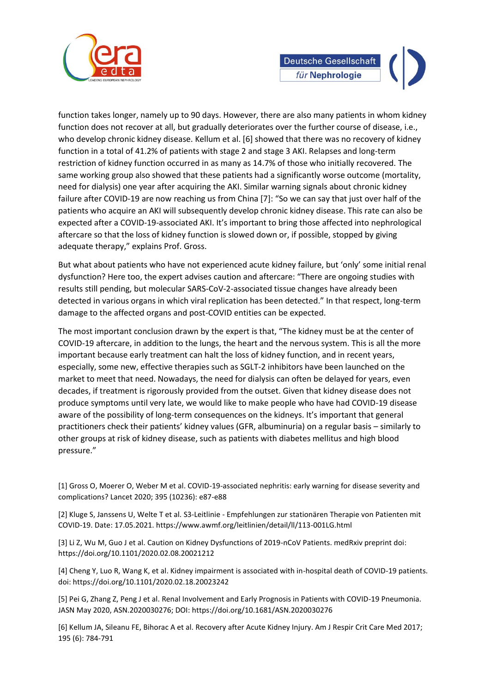

function takes longer, namely up to 90 days. However, there are also many patients in whom kidney function does not recover at all, but gradually deteriorates over the further course of disease, i.e., who develop chronic kidney disease. Kellum et al. [6] showed that there was no recovery of kidney function in a total of 41.2% of patients with stage 2 and stage 3 AKI. Relapses and long-term restriction of kidney function occurred in as many as 14.7% of those who initially recovered. The same working group also showed that these patients had a significantly worse outcome (mortality, need for dialysis) one year after acquiring the AKI. Similar warning signals about chronic kidney failure after COVID-19 are now reaching us from China [7]: "So we can say that just over half of the patients who acquire an AKI will subsequently develop chronic kidney disease. This rate can also be expected after a COVID-19-associated AKI. It's important to bring those affected into nephrological aftercare so that the loss of kidney function is slowed down or, if possible, stopped by giving adequate therapy," explains Prof. Gross.

But what about patients who have not experienced acute kidney failure, but 'only' some initial renal dysfunction? Here too, the expert advises caution and aftercare: "There are ongoing studies with results still pending, but molecular SARS-CoV-2-associated tissue changes have already been detected in various organs in which viral replication has been detected." In that respect, long-term damage to the affected organs and post-COVID entities can be expected.

The most important conclusion drawn by the expert is that, "The kidney must be at the center of COVID-19 aftercare, in addition to the lungs, the heart and the nervous system. This is all the more important because early treatment can halt the loss of kidney function, and in recent years, especially, some new, effective therapies such as SGLT-2 inhibitors have been launched on the market to meet that need. Nowadays, the need for dialysis can often be delayed for years, even decades, if treatment is rigorously provided from the outset. Given that kidney disease does not produce symptoms until very late, we would like to make people who have had COVID-19 disease aware of the possibility of long-term consequences on the kidneys. It's important that general practitioners check their patients' kidney values (GFR, albuminuria) on a regular basis – similarly to other groups at risk of kidney disease, such as patients with diabetes mellitus and high blood pressure."

[1] Gross O, Moerer O, Weber M et al. COVID-19-associated nephritis: early warning for disease severity and complications? Lancet 2020; 395 (10236): e87-e88

[2] Kluge S, Janssens U, Welte T et al. S3-Leitlinie - Empfehlungen zur stationären Therapie von Patienten mit COVID-19. Date: 17.05.2021. https://www.awmf.org/leitlinien/detail/ll/113-001LG.html

[3] Li Z, Wu M, Guo J et al. Caution on Kidney Dysfunctions of 2019-nCoV Patients. medRxiv preprint doi: https://doi.org/10.1101/2020.02.08.20021212

[4] Cheng Y, Luo R, Wang K, et al. Kidney impairment is associated with in-hospital death of COVID-19 patients. doi: https://doi.org/10.1101/2020.02.18.20023242

[5] Pei G, Zhang Z, Peng J et al. Renal Involvement and Early Prognosis in Patients with COVID-19 Pneumonia. JASN May 2020, ASN.2020030276; DOI: https://doi.org/10.1681/ASN.2020030276

[6] Kellum JA, Sileanu FE, Bihorac A et al. Recovery after Acute Kidney Injury. Am J Respir Crit Care Med 2017; 195 (6): 784-791